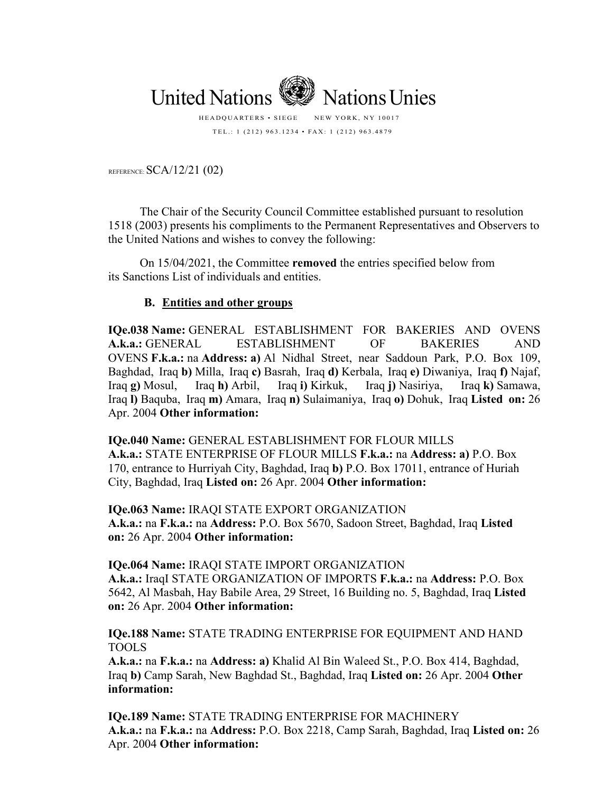

TEL.: 1 (212) 963.1234 • FAX: 1 (212) 963.4879

REFERENCE: SCA/12/21 (02)

The Chair of the Security Council Committee established pursuant to resolution 1518 (2003) presents his compliments to the Permanent Representatives and Observers to the United Nations and wishes to convey the following:

On 15/04/2021, the Committee **removed** the entries specified below from its Sanctions List of individuals and entities.

## **B. Entities and other groups**

**IQe.038 Name:** GENERAL ESTABLISHMENT FOR BAKERIES AND OVENS **A.k.a.:** GENERAL ESTABLISHMENT OF BAKERIES AND OVENS **F.k.a.:** na **Address: a)** Al Nidhal Street, near Saddoun Park, P.O. Box 109, Baghdad, Iraq **b)** Milla, Iraq **c)** Basrah, Iraq **d)** Kerbala, Iraq **e)** Diwaniya, Iraq **f)** Najaf, Iraq **g)** Mosul, Iraq **h)** Arbil, Iraq **i)** Kirkuk, Iraq **j)** Nasiriya, Iraq **k)** Samawa, Iraq **l)** Baquba, Iraq **m)** Amara, Iraq **n)** Sulaimaniya, Iraq **o)** Dohuk, Iraq **Listed on:** 26 Apr. 2004 **Other information:**

**IQe.040 Name:** GENERAL ESTABLISHMENT FOR FLOUR MILLS **A.k.a.:** STATE ENTERPRISE OF FLOUR MILLS **F.k.a.:** na **Address: a)** P.O. Box 170, entrance to Hurriyah City, Baghdad, Iraq **b)** P.O. Box 17011, entrance of Huriah City, Baghdad, Iraq **Listed on:** 26 Apr. 2004 **Other information:**

**IQe.063 Name:** IRAQI STATE EXPORT ORGANIZATION **A.k.a.:** na **F.k.a.:** na **Address:** P.O. Box 5670, Sadoon Street, Baghdad, Iraq **Listed on:** 26 Apr. 2004 **Other information:**

## **IQe.064 Name:** IRAQI STATE IMPORT ORGANIZATION

**A.k.a.:** IraqI STATE ORGANIZATION OF IMPORTS **F.k.a.:** na **Address:** P.O. Box 5642, Al Masbah, Hay Babile Area, 29 Street, 16 Building no. 5, Baghdad, Iraq **Listed on:** 26 Apr. 2004 **Other information:**

**IQe.188 Name:** STATE TRADING ENTERPRISE FOR EQUIPMENT AND HAND TOOLS

**A.k.a.:** na **F.k.a.:** na **Address: a)** Khalid Al Bin Waleed St., P.O. Box 414, Baghdad, Iraq **b)** Camp Sarah, New Baghdad St., Baghdad, Iraq **Listed on:** 26 Apr. 2004 **Other information:**

**IQe.189 Name:** STATE TRADING ENTERPRISE FOR MACHINERY **A.k.a.:** na **F.k.a.:** na **Address:** P.O. Box 2218, Camp Sarah, Baghdad, Iraq **Listed on:** 26 Apr. 2004 **Other information:**